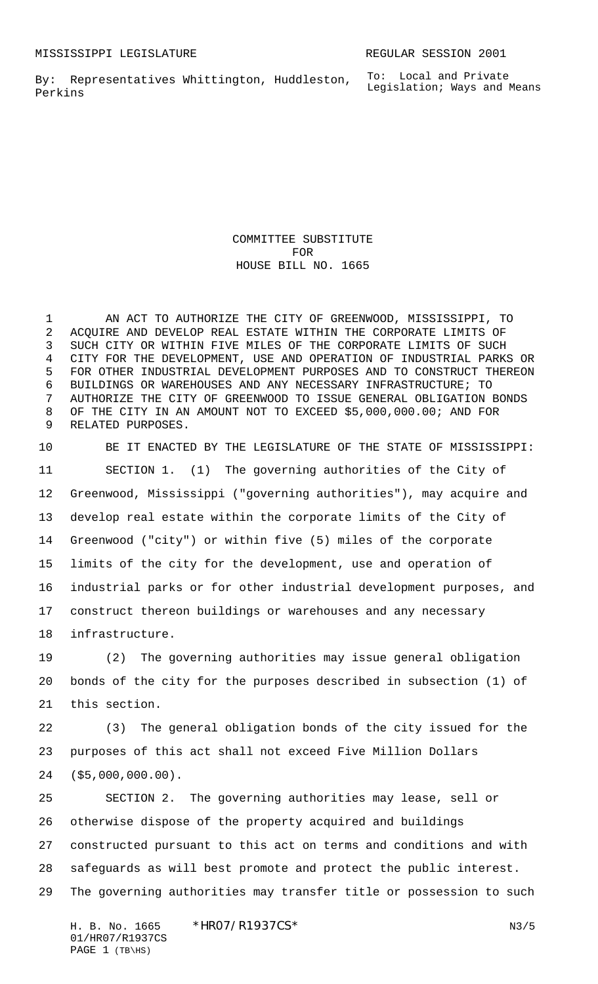By: Representatives Whittington, Huddleston, Perkins

COMMITTEE SUBSTITUTE FOR HOUSE BILL NO. 1665

 AN ACT TO AUTHORIZE THE CITY OF GREENWOOD, MISSISSIPPI, TO ACQUIRE AND DEVELOP REAL ESTATE WITHIN THE CORPORATE LIMITS OF SUCH CITY OR WITHIN FIVE MILES OF THE CORPORATE LIMITS OF SUCH CITY FOR THE DEVELOPMENT, USE AND OPERATION OF INDUSTRIAL PARKS OR FOR OTHER INDUSTRIAL DEVELOPMENT PURPOSES AND TO CONSTRUCT THEREON BUILDINGS OR WAREHOUSES AND ANY NECESSARY INFRASTRUCTURE; TO AUTHORIZE THE CITY OF GREENWOOD TO ISSUE GENERAL OBLIGATION BONDS OF THE CITY IN AN AMOUNT NOT TO EXCEED \$5,000,000.00; AND FOR RELATED PURPOSES.

 BE IT ENACTED BY THE LEGISLATURE OF THE STATE OF MISSISSIPPI: SECTION 1. (1) The governing authorities of the City of Greenwood, Mississippi ("governing authorities"), may acquire and develop real estate within the corporate limits of the City of Greenwood ("city") or within five (5) miles of the corporate limits of the city for the development, use and operation of industrial parks or for other industrial development purposes, and construct thereon buildings or warehouses and any necessary infrastructure.

 (2) The governing authorities may issue general obligation bonds of the city for the purposes described in subsection (1) of this section.

 (3) The general obligation bonds of the city issued for the purposes of this act shall not exceed Five Million Dollars (\$5,000,000.00).

 SECTION 2. The governing authorities may lease, sell or otherwise dispose of the property acquired and buildings constructed pursuant to this act on terms and conditions and with safeguards as will best promote and protect the public interest. The governing authorities may transfer title or possession to such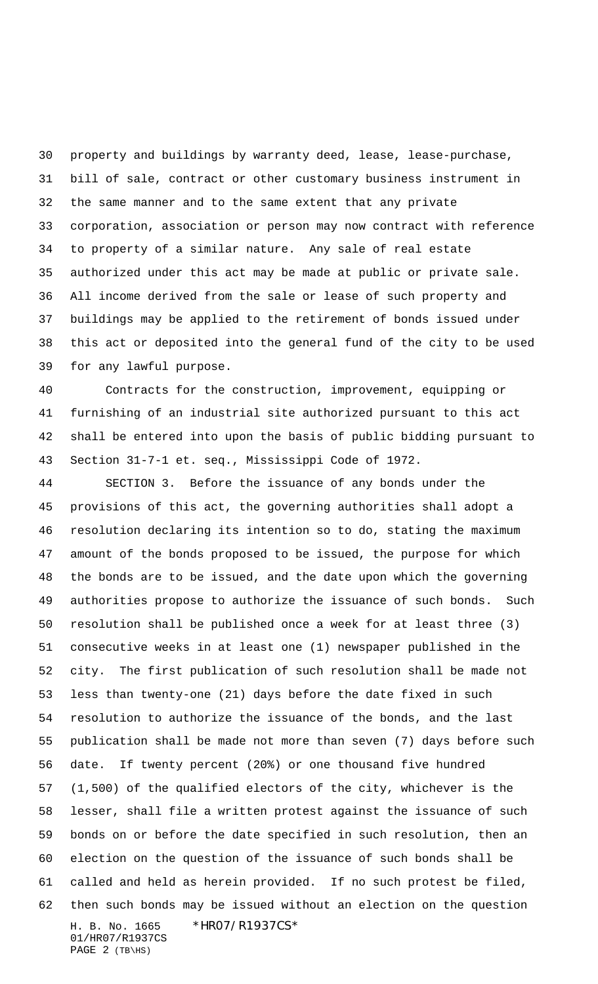property and buildings by warranty deed, lease, lease-purchase, bill of sale, contract or other customary business instrument in the same manner and to the same extent that any private corporation, association or person may now contract with reference to property of a similar nature. Any sale of real estate authorized under this act may be made at public or private sale. All income derived from the sale or lease of such property and buildings may be applied to the retirement of bonds issued under this act or deposited into the general fund of the city to be used for any lawful purpose.

 Contracts for the construction, improvement, equipping or furnishing of an industrial site authorized pursuant to this act shall be entered into upon the basis of public bidding pursuant to Section 31-7-1 et. seq., Mississippi Code of 1972.

H. B. No. 1665 \* HRO7/R1937CS\* 01/HR07/R1937CS SECTION 3. Before the issuance of any bonds under the provisions of this act, the governing authorities shall adopt a resolution declaring its intention so to do, stating the maximum amount of the bonds proposed to be issued, the purpose for which the bonds are to be issued, and the date upon which the governing authorities propose to authorize the issuance of such bonds. Such resolution shall be published once a week for at least three (3) consecutive weeks in at least one (1) newspaper published in the city. The first publication of such resolution shall be made not less than twenty-one (21) days before the date fixed in such resolution to authorize the issuance of the bonds, and the last publication shall be made not more than seven (7) days before such date. If twenty percent (20%) or one thousand five hundred (1,500) of the qualified electors of the city, whichever is the lesser, shall file a written protest against the issuance of such bonds on or before the date specified in such resolution, then an election on the question of the issuance of such bonds shall be called and held as herein provided. If no such protest be filed, then such bonds may be issued without an election on the question

PAGE (TB\HS)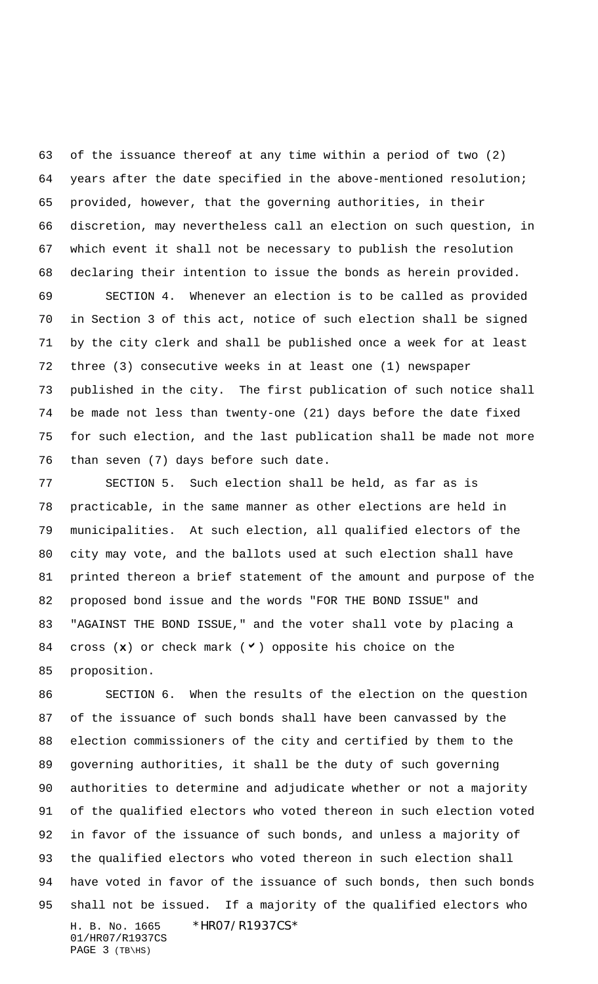of the issuance thereof at any time within a period of two (2) years after the date specified in the above-mentioned resolution; provided, however, that the governing authorities, in their discretion, may nevertheless call an election on such question, in which event it shall not be necessary to publish the resolution declaring their intention to issue the bonds as herein provided.

 SECTION 4. Whenever an election is to be called as provided in Section 3 of this act, notice of such election shall be signed by the city clerk and shall be published once a week for at least three (3) consecutive weeks in at least one (1) newspaper published in the city. The first publication of such notice shall be made not less than twenty-one (21) days before the date fixed for such election, and the last publication shall be made not more than seven (7) days before such date.

 SECTION 5. Such election shall be held, as far as is practicable, in the same manner as other elections are held in municipalities. At such election, all qualified electors of the city may vote, and the ballots used at such election shall have printed thereon a brief statement of the amount and purpose of the proposed bond issue and the words "FOR THE BOND ISSUE" and "AGAINST THE BOND ISSUE," and the voter shall vote by placing a 84 cross (x) or check mark ( $\vee$ ) opposite his choice on the proposition.

H. B. No. 1665 \* HRO7/R1937CS\* 01/HR07/R1937CS PAGE (TB\HS) SECTION 6. When the results of the election on the question of the issuance of such bonds shall have been canvassed by the election commissioners of the city and certified by them to the governing authorities, it shall be the duty of such governing authorities to determine and adjudicate whether or not a majority of the qualified electors who voted thereon in such election voted in favor of the issuance of such bonds, and unless a majority of the qualified electors who voted thereon in such election shall have voted in favor of the issuance of such bonds, then such bonds shall not be issued. If a majority of the qualified electors who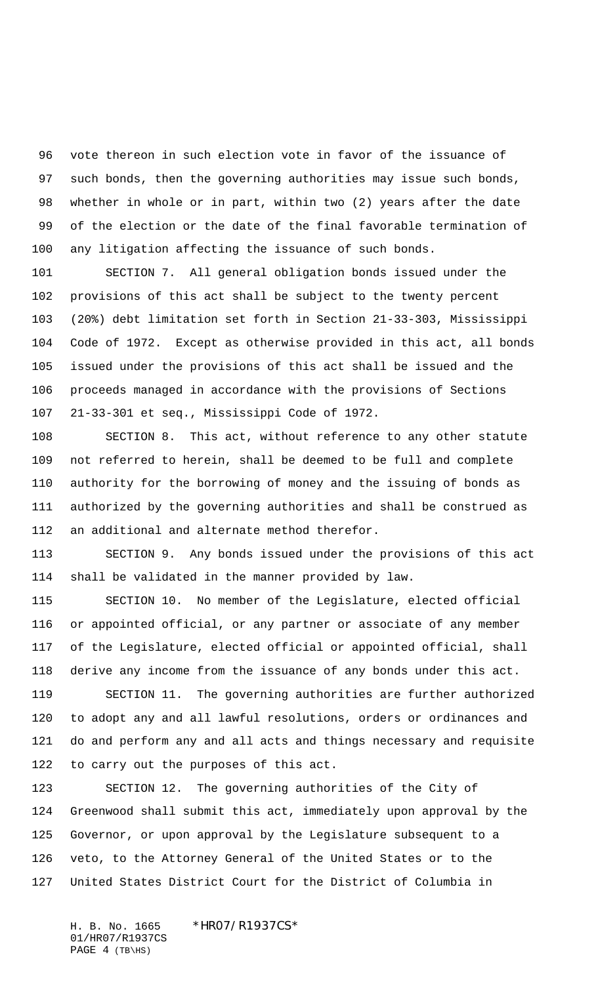vote thereon in such election vote in favor of the issuance of such bonds, then the governing authorities may issue such bonds, whether in whole or in part, within two (2) years after the date of the election or the date of the final favorable termination of any litigation affecting the issuance of such bonds.

 SECTION 7. All general obligation bonds issued under the provisions of this act shall be subject to the twenty percent (20%) debt limitation set forth in Section 21-33-303, Mississippi Code of 1972. Except as otherwise provided in this act, all bonds issued under the provisions of this act shall be issued and the proceeds managed in accordance with the provisions of Sections 21-33-301 et seq., Mississippi Code of 1972.

 SECTION 8. This act, without reference to any other statute not referred to herein, shall be deemed to be full and complete authority for the borrowing of money and the issuing of bonds as authorized by the governing authorities and shall be construed as an additional and alternate method therefor.

 SECTION 9. Any bonds issued under the provisions of this act shall be validated in the manner provided by law.

 SECTION 10. No member of the Legislature, elected official or appointed official, or any partner or associate of any member of the Legislature, elected official or appointed official, shall derive any income from the issuance of any bonds under this act. SECTION 11. The governing authorities are further authorized

 to adopt any and all lawful resolutions, orders or ordinances and do and perform any and all acts and things necessary and requisite to carry out the purposes of this act.

 SECTION 12. The governing authorities of the City of Greenwood shall submit this act, immediately upon approval by the Governor, or upon approval by the Legislature subsequent to a veto, to the Attorney General of the United States or to the United States District Court for the District of Columbia in

H. B. No. 1665 \* HRO7/R1937CS\* 01/HR07/R1937CS PAGE (TB\HS)